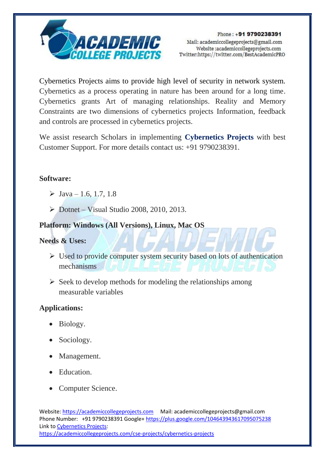

Cybernetics Projects aims to provide high level of security in network system. Cybernetics as a process operating in nature has been around for a long time. Cybernetics grants Art of managing relationships. Reality and Memory Constraints are two dimensions of cybernetics projects Information, feedback and controls are processed in cybernetics projects.

We assist research Scholars in implementing **Cybernetics Projects** with best Customer Support. For more details contact us: +91 9790238391.

## **Software:**

- $\triangleright$  Java 1.6, 1.7, 1.8
- $\triangleright$  Dotnet Visual Studio 2008, 2010, 2013.

# **Platform: Windows (All Versions), Linux, Mac OS**

## **Needs & Uses:**

- $\triangleright$  Used to provide computer system security based on lots of authentication mechanisms
- $\triangleright$  Seek to develop methods for modeling the relationships among measurable variables

## **Applications:**

- Biology.
- Sociology.
- Management.
- Education.
- Computer Science.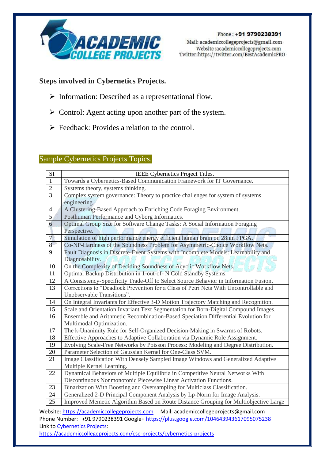

Phone: +91 9790238391 Mail: academiccollegeprojects@gmail.com Website:academiccollegeprojects.com Twitter:https://twitter.com/BestAcademicPRO

## **Steps involved in Cybernetics Projects.**

- $\triangleright$  Information: Described as a representational flow.
- $\triangleright$  Control: Agent acting upon another part of the system.
- $\triangleright$  Feedback: Provides a relation to the control.

#### Sample Cybernetics Projects Topics.

| SI             | IEEE Cybernetics Project Titles.                                                                                                                                  |
|----------------|-------------------------------------------------------------------------------------------------------------------------------------------------------------------|
| $\mathbf{1}$   | Towards a Cybernetics-Based Communication Framework for IT Governance.                                                                                            |
| $\overline{2}$ | Systems theory, systems thinking.                                                                                                                                 |
| $\overline{3}$ | Complex system governance: Theory to practice challenges for system of systems                                                                                    |
|                | engineering.                                                                                                                                                      |
| $\overline{4}$ | A Clustering-Based Approach to Enriching Code Foraging Environment.                                                                                               |
| $\overline{5}$ | Posthuman Performance and Cyborg Informatics.                                                                                                                     |
| $\overline{6}$ | Optimal Group Size for Software Change Tasks: A Social Information Foraging                                                                                       |
|                | Perspective.                                                                                                                                                      |
| 7 <sup>1</sup> | Simulation of high performance energy efficient human brain on 28nm FPGA.                                                                                         |
| 8              | Co-NP-Hardness of the Soundness Problem for Asymmetric-Choice Workflow Nets.                                                                                      |
| 9              | Fault Diagnosis in Discrete-Event Systems with Incomplete Models: Learnability and                                                                                |
|                | Diagnosability.                                                                                                                                                   |
| 10             | On the Complexity of Deciding Soundness of Acyclic Workflow Nets.                                                                                                 |
| 11             | Optimal Backup Distribution in 1-out-of- N Cold Standby Systems.                                                                                                  |
| 12             | A Consistency-Specificity Trade-Off to Select Source Behavior in Information Fusion.                                                                              |
| 13             | Corrections to "Deadlock Prevention for a Class of Petri Nets With Uncontrollable and                                                                             |
|                | Unobservable Transitions".                                                                                                                                        |
| 14             | On Integral Invariants for Effective 3-D Motion Trajectory Matching and Recognition.                                                                              |
| 15             | Scale and Orientation Invariant Text Segmentation for Born-Digital Compound Images.                                                                               |
| 16             | Ensemble and Arithmetic Recombination-Based Speciation Differential Evolution for                                                                                 |
|                | Multimodal Optimization.                                                                                                                                          |
| 17             | The k-Unanimity Rule for Self-Organized Decision-Making in Swarms of Robots.                                                                                      |
| 18             | Effective Approaches to Adaptive Collaboration via Dynamic Role Assignment.                                                                                       |
| 19             | Evolving Scale-Free Networks by Poisson Process: Modeling and Degree Distribution.                                                                                |
| 20             | Parameter Selection of Gaussian Kernel for One-Class SVM.                                                                                                         |
| 21             | Image Classification With Densely Sampled Image Windows and Generalized Adaptive                                                                                  |
|                | Multiple Kernel Learning.                                                                                                                                         |
| 22             | Dynamical Behaviors of Multiple Equilibria in Competitive Neural Networks With                                                                                    |
|                | Discontinuous Nonmonotonic Piecewise Linear Activation Functions.                                                                                                 |
| 23             | Binarization With Boosting and Oversampling for Multiclass Classification.                                                                                        |
| 24             | Generalized 2-D Principal Component Analysis by Lp-Norm for Image Analysis.                                                                                       |
| 25             | Improved Memetic Algorithm Based on Route Distance Grouping for Multiobjective Large                                                                              |
|                | $\mathbf{u} = \mathbf{u} - \mathbf{u}$ , $\mathbf{u} = \mathbf{u} - \mathbf{u}$ , $\mathbf{u} = \mathbf{u} - \mathbf{u}$ , $\mathbf{u} = \mathbf{u} - \mathbf{u}$ |

Website[: https://academiccollegeprojects.com](https://academiccollegeprojects.com/) Mail: academiccollegeprojects@gmail.com Phone Number: +91 9790238391 Google+<https://plus.google.com/104643943617095075238> Link to [Cybernetics Projects:](https://academiccollegeprojects.com/cse-projects/cybernetics-projects) <https://academiccollegeprojects.com/cse-projects/cybernetics-projects>